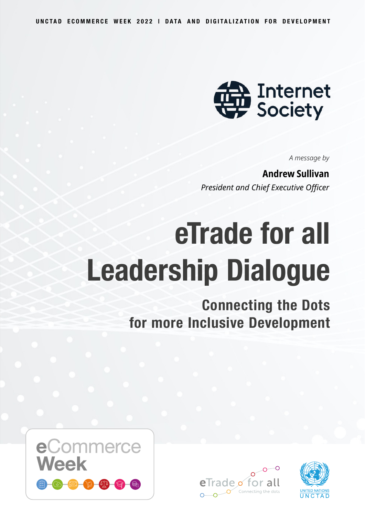

*A message by*

**Andrew Sullivan** *President and Chief Executive Officer*

# **eTrade for all Leadership Dialogue**

**Connecting the Dots for more Inclusive Development**





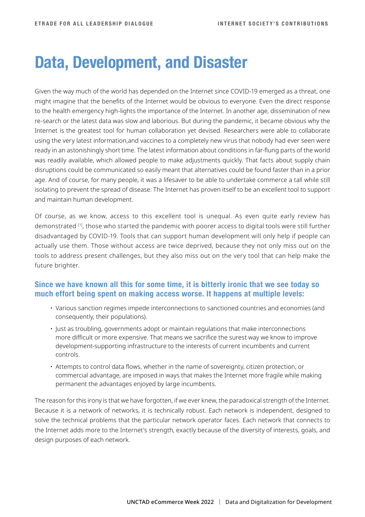## **Data, Development, and Disaster**

Given the way much of the world has depended on the Internet since COVID-19 emerged as a threat, one might imagine that the benefits of the Internet would be obvious to everyone. Even the direct response to the health emergency high-lights the importance of the Internet. In another age, dissemination of new re-search or the latest data was slow and laborious. But during the pandemic, it became obvious why the Internet is the greatest tool for human collaboration yet devised. Researchers were able to collaborate using the very latest information,and vaccines to a completely new virus that nobody had ever seen were ready in an astonishingly short time. The latest information about conditions in far-flung parts of the world was readily available, which allowed people to make adjustments quickly. That facts about supply chain disruptions could be communicated so easily meant that alternatives could be found faster than in a prior age. And of course, for many people, it was a lifesaver to be able to undertake commerce a tall while still isolating to prevent the spread of disease. The Internet has proven itself to be an excellent tool to support and maintain human development.

Of course, as we know, access to this excellent tool is unequal. As even quite early review has demonstrated [1], those who started the pandemic with poorer access to digital tools were still further disadvantaged by COVID-19. Tools that can support human development will only help if people can actually use them. Those without access are twice deprived, because they not only miss out on the tools to address present challenges, but they also miss out on the very tool that can help make the future brighter.

#### **Since we have known all this for some time, it is bitterly ironic that we see today so much effort being spent on making access worse. It happens at multiple levels:**

- Various sanction regimes impede interconnections to sanctioned countries and economies (and consequently, their populations).
- Just as troubling, governments adopt or maintain regulations that make interconnections more difficult or more expensive. That means we sacrifice the surest way we know to improve development-supporting infrastructure to the interests of current incumbents and current controls.
- Attempts to control data flows, whether in the name of sovereignty, citizen protection, or commercial advantage, are imposed in ways that makes the Internet more fragile while making permanent the advantages enjoyed by large incumbents.

The reason for this irony is that we have forgotten, if we ever knew, the paradoxical strength of the Internet. Because it is a network of networks, it is technically robust. Each network is independent, designed to solve the technical problems that the particular network operator faces. Each network that connects to the Internet adds more to the Internet's strength, exactly because of the diversity of interests, goals, and design purposes of each network.